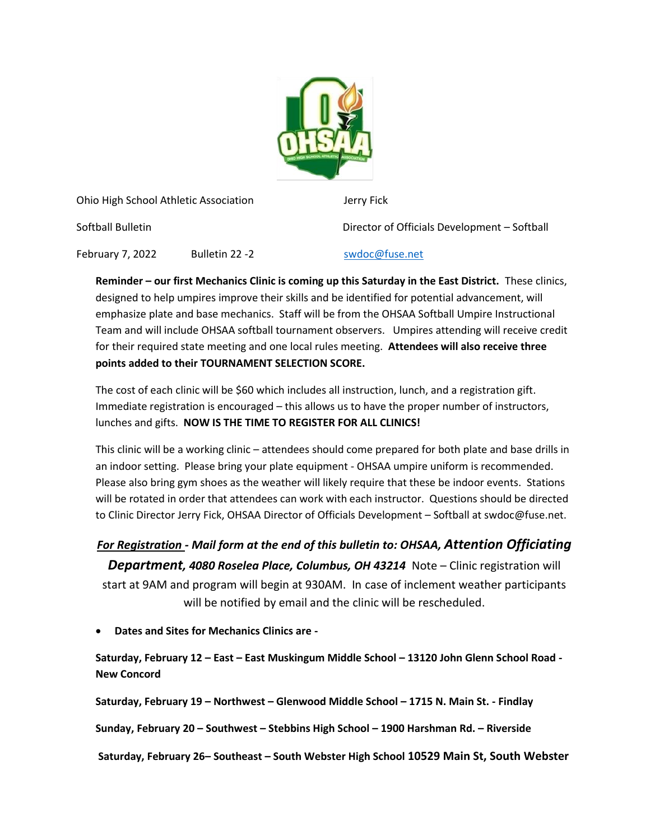

Ohio High School Athletic Association Jerry Fick

Softball Bulletin Director of Officials Development – Softball

February 7, 2022 Bulletin 22 -2 Swdoc@fuse.net

**Reminder – our first Mechanics Clinic is coming up this Saturday in the East District.** These clinics, designed to help umpires improve their skills and be identified for potential advancement, will emphasize plate and base mechanics. Staff will be from the OHSAA Softball Umpire Instructional Team and will include OHSAA softball tournament observers. Umpires attending will receive credit for their required state meeting and one local rules meeting. **Attendees will also receive three points added to their TOURNAMENT SELECTION SCORE.**

The cost of each clinic will be \$60 which includes all instruction, lunch, and a registration gift. Immediate registration is encouraged – this allows us to have the proper number of instructors, lunches and gifts. **NOW IS THE TIME TO REGISTER FOR ALL CLINICS!**

This clinic will be a working clinic – attendees should come prepared for both plate and base drills in an indoor setting. Please bring your plate equipment - OHSAA umpire uniform is recommended. Please also bring gym shoes as the weather will likely require that these be indoor events. Stations will be rotated in order that attendees can work with each instructor. Questions should be directed to Clinic Director Jerry Fick, OHSAA Director of Officials Development – Softball at swdoc@fuse.net.

## *For Registration - Mail form at the end of this bulletin to: OHSAA, Attention Officiating*

*Department, 4080 Roselea Place, Columbus, OH 43214* Note – Clinic registration will start at 9AM and program will begin at 930AM. In case of inclement weather participants will be notified by email and the clinic will be rescheduled.

• **Dates and Sites for Mechanics Clinics are -**

**Saturday, February 12 – East – East Muskingum Middle School – 13120 John Glenn School Road - New Concord** 

**Saturday, February 19 – Northwest – Glenwood Middle School – 1715 N. Main St. - Findlay**

**Sunday, February 20 – Southwest – Stebbins High School – 1900 Harshman Rd. – Riverside**

**Saturday, February 26– Southeast – South Webster High School 10529 Main St, South Webster**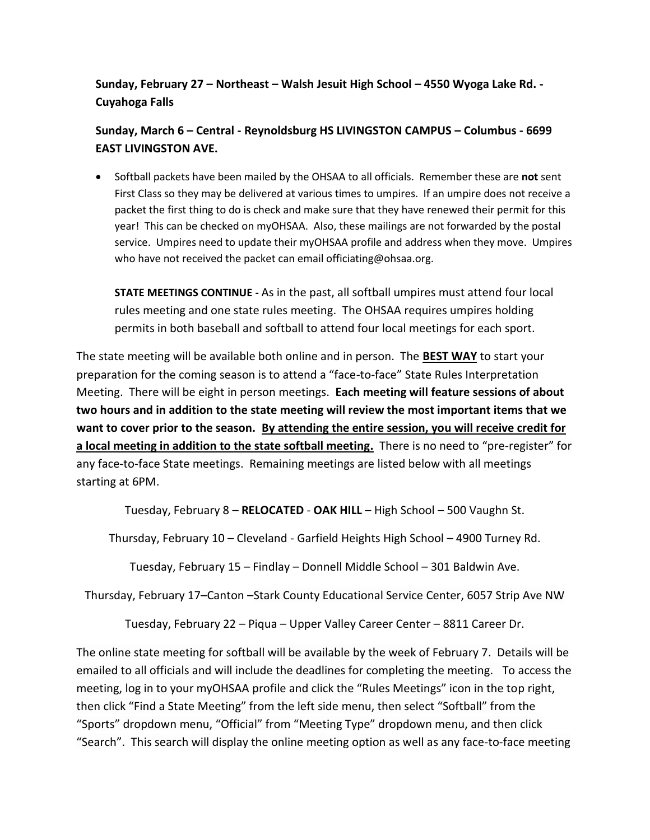**Sunday, February 27 – Northeast – Walsh Jesuit High School – 4550 Wyoga Lake Rd. - Cuyahoga Falls**

**Sunday, March 6 – Central - Reynoldsburg HS LIVINGSTON CAMPUS – Columbus - 6699 EAST LIVINGSTON AVE.**

• Softball packets have been mailed by the OHSAA to all officials. Remember these are **not** sent First Class so they may be delivered at various times to umpires. If an umpire does not receive a packet the first thing to do is check and make sure that they have renewed their permit for this year! This can be checked on myOHSAA. Also, these mailings are not forwarded by the postal service. Umpires need to update their myOHSAA profile and address when they move. Umpires who have not received the packet can email officiating@ohsaa.org.

**STATE MEETINGS CONTINUE -** As in the past, all softball umpires must attend four local rules meeting and one state rules meeting. The OHSAA requires umpires holding permits in both baseball and softball to attend four local meetings for each sport.

The state meeting will be available both online and in person. The **BEST WAY** to start your preparation for the coming season is to attend a "face-to-face" State Rules Interpretation Meeting. There will be eight in person meetings. **Each meeting will feature sessions of about two hours and in addition to the state meeting will review the most important items that we want to cover prior to the season. By attending the entire session, you will receive credit for a local meeting in addition to the state softball meeting.** There is no need to "pre-register" for any face-to-face State meetings. Remaining meetings are listed below with all meetings starting at 6PM.

Tuesday, February 8 – **RELOCATED** - **OAK HILL** – High School – 500 Vaughn St.

Thursday, February 10 – Cleveland - Garfield Heights High School – 4900 Turney Rd.

Tuesday, February 15 – Findlay – Donnell Middle School – 301 Baldwin Ave.

Thursday, February 17–Canton –Stark County Educational Service Center, 6057 Strip Ave NW

Tuesday, February 22 – Piqua – Upper Valley Career Center – 8811 Career Dr.

The online state meeting for softball will be available by the week of February 7. Details will be emailed to all officials and will include the deadlines for completing the meeting. To access the meeting, log in to your myOHSAA profile and click the "Rules Meetings" icon in the top right, then click "Find a State Meeting" from the left side menu, then select "Softball" from the "Sports" dropdown menu, "Official" from "Meeting Type" dropdown menu, and then click "Search". This search will display the online meeting option as well as any face-to-face meeting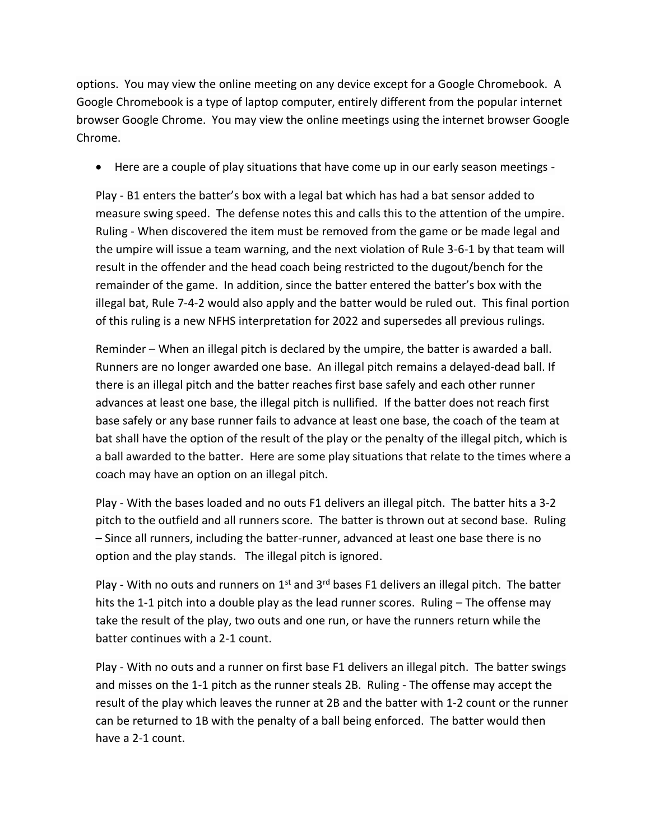options. You may view the online meeting on any device except for a Google Chromebook. A Google Chromebook is a type of laptop computer, entirely different from the popular internet browser Google Chrome. You may view the online meetings using the internet browser Google Chrome.

• Here are a couple of play situations that have come up in our early season meetings -

Play - B1 enters the batter's box with a legal bat which has had a bat sensor added to measure swing speed. The defense notes this and calls this to the attention of the umpire. Ruling - When discovered the item must be removed from the game or be made legal and the umpire will issue a team warning, and the next violation of Rule 3-6-1 by that team will result in the offender and the head coach being restricted to the dugout/bench for the remainder of the game. In addition, since the batter entered the batter's box with the illegal bat, Rule 7-4-2 would also apply and the batter would be ruled out. This final portion of this ruling is a new NFHS interpretation for 2022 and supersedes all previous rulings.

Reminder – When an illegal pitch is declared by the umpire, the batter is awarded a ball. Runners are no longer awarded one base. An illegal pitch remains a delayed-dead ball. If there is an illegal pitch and the batter reaches first base safely and each other runner advances at least one base, the illegal pitch is nullified. If the batter does not reach first base safely or any base runner fails to advance at least one base, the coach of the team at bat shall have the option of the result of the play or the penalty of the illegal pitch, which is a ball awarded to the batter. Here are some play situations that relate to the times where a coach may have an option on an illegal pitch.

Play - With the bases loaded and no outs F1 delivers an illegal pitch. The batter hits a 3-2 pitch to the outfield and all runners score. The batter is thrown out at second base. Ruling – Since all runners, including the batter-runner, advanced at least one base there is no option and the play stands. The illegal pitch is ignored.

Play - With no outs and runners on  $1<sup>st</sup>$  and  $3<sup>rd</sup>$  bases F1 delivers an illegal pitch. The batter hits the 1-1 pitch into a double play as the lead runner scores. Ruling – The offense may take the result of the play, two outs and one run, or have the runners return while the batter continues with a 2-1 count.

Play - With no outs and a runner on first base F1 delivers an illegal pitch. The batter swings and misses on the 1-1 pitch as the runner steals 2B. Ruling - The offense may accept the result of the play which leaves the runner at 2B and the batter with 1-2 count or the runner can be returned to 1B with the penalty of a ball being enforced. The batter would then have a 2-1 count.